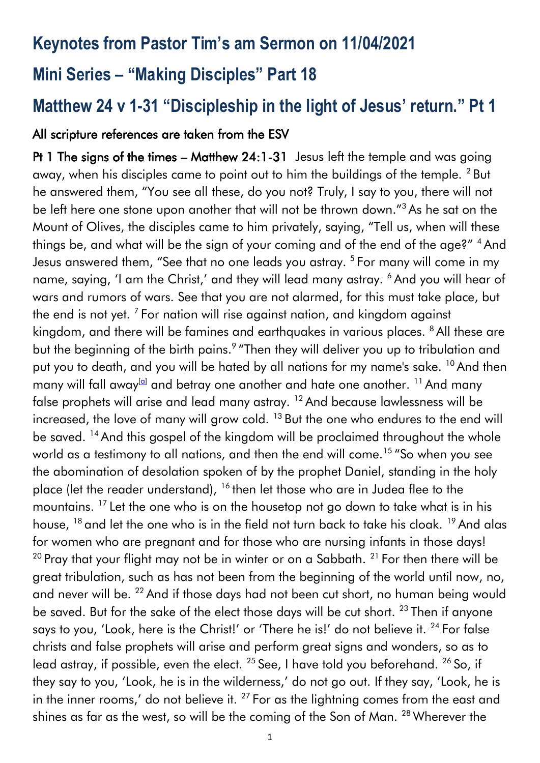## **Keynotes from Pastor Tim's am Sermon on 11/04/2021**

# **Mini Series – "Making Disciples" Part 18**

# **Matthew 24 v 1-31 "Discipleship in the light of Jesus' return." Pt 1**

#### All scripture references are taken from the ESV

Pt 1 The signs of the times – Matthew 24:1-31 Jesus left the temple and was going away, when his disciples came to point out to him the buildings of the temple. <sup>2</sup> But he answered them, "You see all these, do you not? Truly, I say to you, there will not be left here one stone upon another that will not be thrown down."<sup>3</sup> As he sat on the Mount of Olives, the disciples came to him privately, saying, "Tell us, when will these things be, and what will be the sign of your coming and of the end of the age?" <sup>4</sup> And Jesus answered them, "See that no one leads you astray. <sup>5</sup> For many will come in my name, saying, 'I am the Christ,' and they will lead many astray. <sup>6</sup> And you will hear of wars and rumors of wars. See that you are not alarmed, for this must take place, but the end is not yet.  $^7$  For nation will rise against nation, and kingdom against kingdom, and there will be famines and earthquakes in various places. <sup>8</sup> All these are but the beginning of the birth pains.<sup>9</sup> "Then they will deliver you up to tribulation and put you to death, and you will be hated by all nations for my name's sake. <sup>10</sup> And then many will fall away<sup>[\[a\]](https://www.biblegateway.com/passage/?search=matthew+24&version=ESV#fen-ESV-23964a)</sup> and betray one another and hate one another. <sup>11</sup> And many false prophets will arise and lead many astray. <sup>12</sup> And because lawlessness will be increased, the love of many will grow cold.  $13$  But the one who endures to the end will be saved. <sup>14</sup> And this gospel of the kingdom will be proclaimed throughout the whole world as a testimony to all nations, and then the end will come.<sup>15</sup> "So when you see the abomination of desolation spoken of by the prophet Daniel, standing in the holy place (let the reader understand), <sup>16</sup> then let those who are in Judea flee to the mountains. <sup>17</sup> Let the one who is on the housetop not go down to take what is in his house, <sup>18</sup> and let the one who is in the field not turn back to take his cloak. <sup>19</sup> And alas for women who are pregnant and for those who are nursing infants in those days! <sup>20</sup> Pray that your flight may not be in winter or on a Sabbath.<sup>21</sup> For then there will be great tribulation, such as has not been from the beginning of the world until now, no, and never will be. <sup>22</sup> And if those days had not been cut short, no human being would be saved. But for the sake of the elect those days will be cut short. <sup>23</sup> Then if anyone says to you, 'Look, here is the Christ!' or 'There he is!' do not believe it. <sup>24</sup> For false christs and false prophets will arise and perform great signs and wonders, so as to lead astray, if possible, even the elect.  $^{25}$  See, I have told you beforehand.  $^{26}$  So, if they say to you, 'Look, he is in the wilderness,' do not go out. If they say, 'Look, he is in the inner rooms,' do not believe it.  $27$  For as the lightning comes from the east and shines as far as the west, so will be the coming of the Son of Man. <sup>28</sup> Wherever the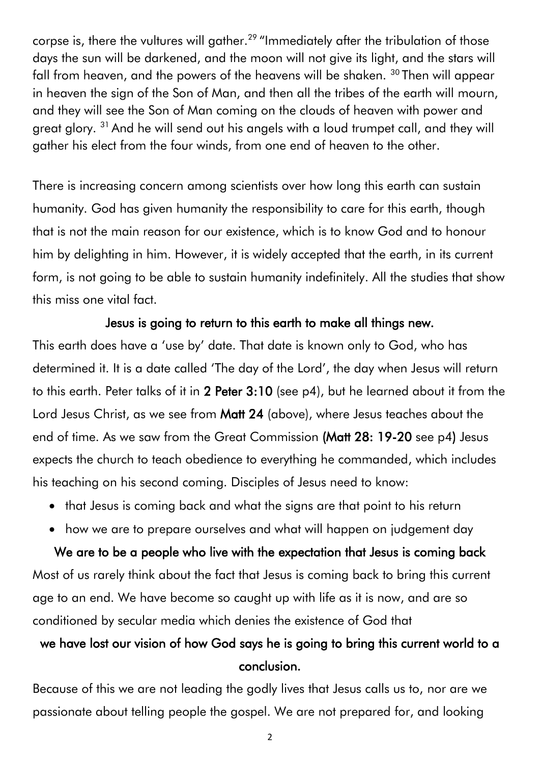corpse is, there the vultures will gather.<sup>29</sup> "Immediately after the tribulation of those days the sun will be darkened, and the moon will not give its light, and the stars will fall from heaven, and the powers of the heavens will be shaken. <sup>30</sup> Then will appear in heaven the sign of the Son of Man, and then all the tribes of the earth will mourn, and they will see the Son of Man coming on the clouds of heaven with power and great glory. <sup>31</sup> And he will send out his angels with a loud trumpet call, and they will gather his elect from the four winds, from one end of heaven to the other.

There is increasing concern among scientists over how long this earth can sustain humanity. God has given humanity the responsibility to care for this earth, though that is not the main reason for our existence, which is to know God and to honour him by delighting in him. However, it is widely accepted that the earth, in its current form, is not going to be able to sustain humanity indefinitely. All the studies that show this miss one vital fact.

#### Jesus is going to return to this earth to make all things new.

This earth does have a 'use by' date. That date is known only to God, who has determined it. It is a date called 'The day of the Lord', the day when Jesus will return to this earth. Peter talks of it in 2 Peter 3:10 (see p4), but he learned about it from the Lord Jesus Christ, as we see from Matt 24 (above), where Jesus teaches about the end of time. As we saw from the Great Commission (Matt 28: 19-20 see p4) Jesus expects the church to teach obedience to everything he commanded, which includes his teaching on his second coming. Disciples of Jesus need to know:

- that Jesus is coming back and what the signs are that point to his return
- how we are to prepare ourselves and what will happen on judgement day

We are to be a people who live with the expectation that Jesus is coming back Most of us rarely think about the fact that Jesus is coming back to bring this current age to an end. We have become so caught up with life as it is now, and are so conditioned by secular media which denies the existence of God that

## we have lost our vision of how God says he is going to bring this current world to a conclusion.

Because of this we are not leading the godly lives that Jesus calls us to, nor are we passionate about telling people the gospel. We are not prepared for, and looking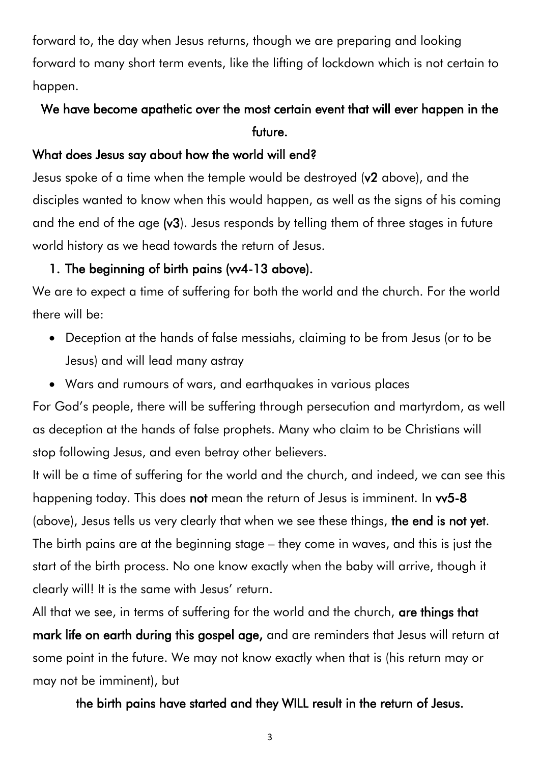forward to, the day when Jesus returns, though we are preparing and looking forward to many short term events, like the lifting of lockdown which is not certain to happen.

### We have become apathetic over the most certain event that will ever happen in the future.

### What does Jesus say about how the world will end?

Jesus spoke of a time when the temple would be destroyed (v2 above), and the disciples wanted to know when this would happen, as well as the signs of his coming and the end of the age (v3). Jesus responds by telling them of three stages in future world history as we head towards the return of Jesus.

### 1. The beginning of birth pains (vv4-13 above).

We are to expect a time of suffering for both the world and the church. For the world there will be:

- Deception at the hands of false messiahs, claiming to be from Jesus (or to be Jesus) and will lead many astray
- Wars and rumours of wars, and earthquakes in various places

For God's people, there will be suffering through persecution and martyrdom, as well as deception at the hands of false prophets. Many who claim to be Christians will stop following Jesus, and even betray other believers.

It will be a time of suffering for the world and the church, and indeed, we can see this happening today. This does not mean the return of Jesus is imminent. In w5-8 (above), Jesus tells us very clearly that when we see these things, the end is not yet. The birth pains are at the beginning stage – they come in waves, and this is just the start of the birth process. No one know exactly when the baby will arrive, though it clearly will! It is the same with Jesus' return.

All that we see, in terms of suffering for the world and the church, are things that mark life on earth during this gospel age, and are reminders that Jesus will return at some point in the future. We may not know exactly when that is (his return may or may not be imminent), but

#### the birth pains have started and they WILL result in the return of Jesus.

3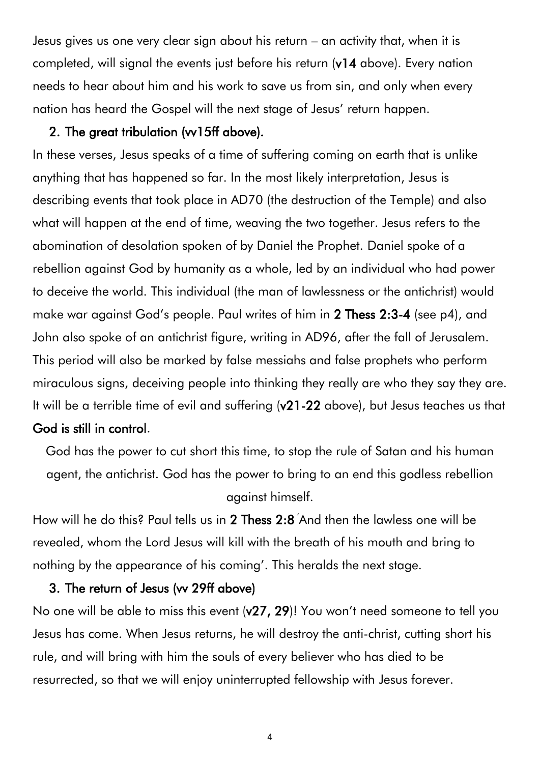Jesus gives us one very clear sign about his return – an activity that, when it is completed, will signal the events just before his return (v14 above). Every nation needs to hear about him and his work to save us from sin, and only when every nation has heard the Gospel will the next stage of Jesus' return happen.

#### 2. The great tribulation (vv15ff above).

In these verses, Jesus speaks of a time of suffering coming on earth that is unlike anything that has happened so far. In the most likely interpretation, Jesus is describing events that took place in AD70 (the destruction of the Temple) and also what will happen at the end of time, weaving the two together. Jesus refers to the abomination of desolation spoken of by Daniel the Prophet. Daniel spoke of a rebellion against God by humanity as a whole, led by an individual who had power to deceive the world. This individual (the man of lawlessness or the antichrist) would make war against God's people. Paul writes of him in 2 Thess 2:3-4 (see p4), and John also spoke of an antichrist figure, writing in AD96, after the fall of Jerusalem. This period will also be marked by false messiahs and false prophets who perform miraculous signs, deceiving people into thinking they really are who they say they are. It will be a terrible time of evil and suffering (v21-22 above), but Jesus teaches us that God is still in control.

God has the power to cut short this time, to stop the rule of Satan and his human agent, the antichrist. God has the power to bring to an end this godless rebellion against himself.

How will he do this? Paul tells us in 2 Thess 2:8 'And then the lawless one will be revealed, whom the Lord Jesus will kill with the breath of his mouth and bring to nothing by the appearance of his coming'. This heralds the next stage.

#### 3. The return of Jesus (vv 29ff above)

No one will be able to miss this event (v27, 29)! You won't need someone to tell you Jesus has come. When Jesus returns, he will destroy the anti-christ, cutting short his rule, and will bring with him the souls of every believer who has died to be resurrected, so that we will enjoy uninterrupted fellowship with Jesus forever.

4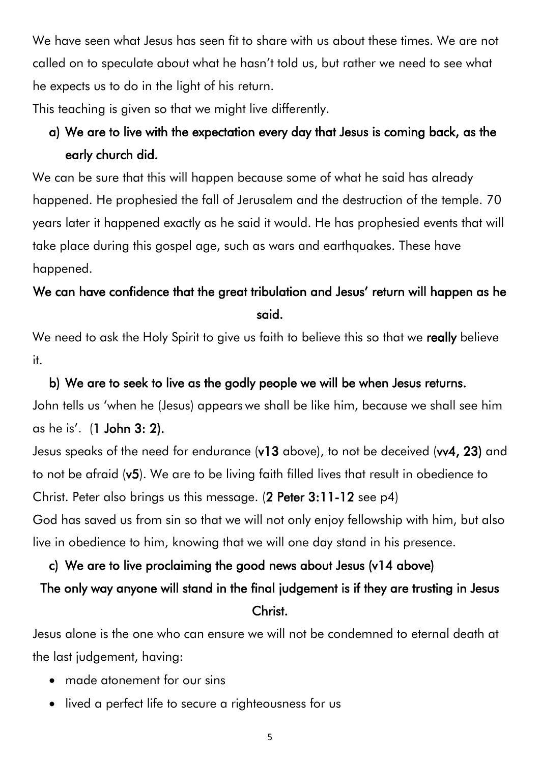We have seen what Jesus has seen fit to share with us about these times. We are not called on to speculate about what he hasn't told us, but rather we need to see what he expects us to do in the light of his return.

This teaching is given so that we might live differently.

## a) We are to live with the expectation every day that Jesus is coming back, as the early church did.

We can be sure that this will happen because some of what he said has already happened. He prophesied the fall of Jerusalem and the destruction of the temple. 70 years later it happened exactly as he said it would. He has prophesied events that will take place during this gospel age, such as wars and earthquakes. These have happened.

## We can have confidence that the great tribulation and Jesus' return will happen as he said.

We need to ask the Holy Spirit to give us faith to believe this so that we really believe it.

b) We are to seek to live as the godly people we will be when Jesus returns. John tells us 'when he (Jesus) appears we shall be like him, because we shall see him as he is'. (1 John 3: 2).

Jesus speaks of the need for endurance (v13 above), to not be deceived (vv4, 23) and to not be afraid (v5). We are to be living faith filled lives that result in obedience to Christ. Peter also brings us this message. (2 Peter 3:11-12 see p4) God has saved us from sin so that we will not only enjoy fellowship with him, but also live in obedience to him, knowing that we will one day stand in his presence.

### c) We are to live proclaiming the good news about Jesus (v14 above)

# The only way anyone will stand in the final judgement is if they are trusting in Jesus Christ.

Jesus alone is the one who can ensure we will not be condemned to eternal death at the last judgement, having:

- made atonement for our sins
- lived a perfect life to secure a righteousness for us

5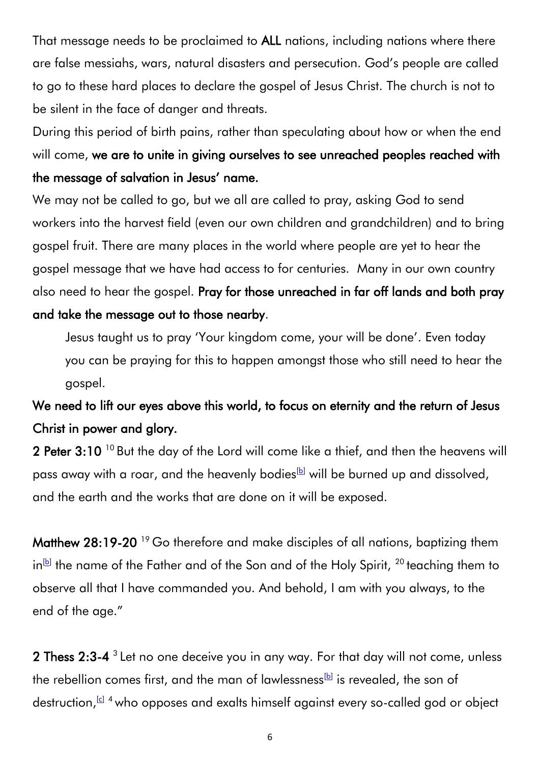That message needs to be proclaimed to ALL nations, including nations where there are false messiahs, wars, natural disasters and persecution. God's people are called to go to these hard places to declare the gospel of Jesus Christ. The church is not to be silent in the face of danger and threats.

During this period of birth pains, rather than speculating about how or when the end will come, we are to unite in giving ourselves to see unreached peoples reached with the message of salvation in Jesus' name.

We may not be called to go, but we all are called to pray, asking God to send workers into the harvest field (even our own children and grandchildren) and to bring gospel fruit. There are many places in the world where people are yet to hear the gospel message that we have had access to for centuries. Many in our own country also need to hear the gospel. Pray for those unreached in far off lands and both pray and take the message out to those nearby.

Jesus taught us to pray 'Your kingdom come, your will be done'. Even today you can be praying for this to happen amongst those who still need to hear the gospel.

## We need to lift our eyes above this world, to focus on eternity and the return of Jesus Christ in power and glory.

2 Peter 3:10<sup>10</sup> But the day of the Lord will come like a thief, and then the heavens will pass away with a roar, and the heavenly bodies<sup>[\[b\]](https://www.biblegateway.com/passage/?search=2%20Peter+3&version=ESV#fen-ESV-30516b)</sup> will be burned up and dissolved, and the earth and the works that are done on it will be exposed.

Matthew 28:19-20<sup>19</sup> Go therefore and make disciples of all nations, baptizing them in $[$ b] the name of the Father and of the Son and of the Holy Spirit,  $^{20}$  teaching them to observe all that I have commanded you. And behold, I am with you always, to the end of the age."

**2 Thess 2:3-4**  $3$  Let no one deceive you in any way. For that day will not come, unless the rebellion comes first, and the man of lawlessness $^{\text{\tiny{{\small{\text{[b}}}}} }$  is revealed, the son of destruction,<sup>[\[c\]](https://www.biblegateway.com/passage/?search=2%20Thessalonians+2&version=ESV#fen-ESV-29648c) 4</sup> who opposes and exalts himself against every so-called god or object